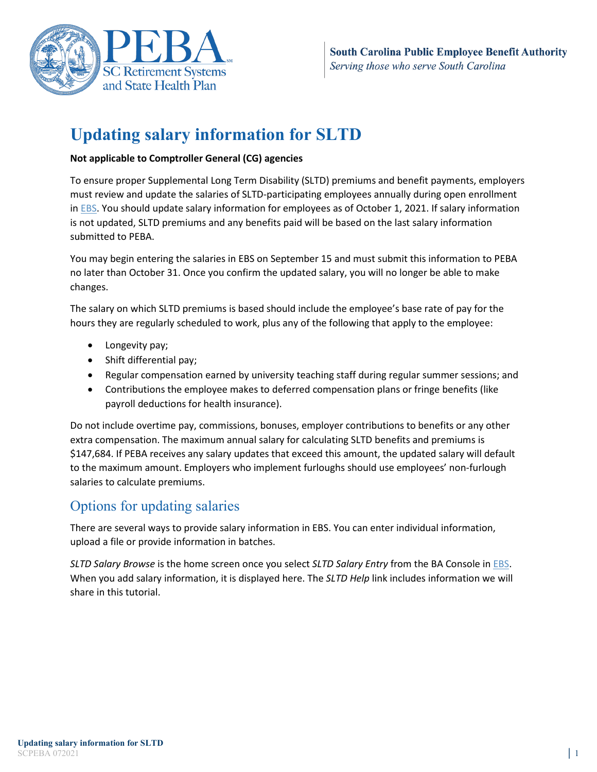

# **Updating salary information for SLTD**

### **Not applicable to Comptroller General (CG) agencies**

To ensure proper Supplemental Long Term Disability (SLTD) premiums and benefit payments, employers must review and update the salaries of SLTD-participating employees annually during open enrollment in [EBS.](https://ebs.eip.sc.gov/ebs/) You should update salary information for employees as of October 1, 2021. If salary information is not updated, SLTD premiums and any benefits paid will be based on the last salary information submitted to PEBA.

You may begin entering the salaries in EBS on September 15 and must submit this information to PEBA no later than October 31. Once you confirm the updated salary, you will no longer be able to make changes.

The salary on which SLTD premiums is based should include the employee's base rate of pay for the hours they are regularly scheduled to work, plus any of the following that apply to the employee:

- Longevity pay;
- Shift differential pay;
- Regular compensation earned by university teaching staff during regular summer sessions; and
- Contributions the employee makes to deferred compensation plans or fringe benefits (like payroll deductions for health insurance).

Do not include overtime pay, commissions, bonuses, employer contributions to benefits or any other extra compensation. The maximum annual salary for calculating SLTD benefits and premiums is \$147,684. If PEBA receives any salary updates that exceed this amount, the updated salary will default to the maximum amount. Employers who implement furloughs should use employees' non-furlough salaries to calculate premiums.

# Options for updating salaries

There are several ways to provide salary information in EBS. You can enter individual information, upload a file or provide information in batches.

*SLTD Salary Browse* is the home screen once you select *SLTD Salary Entry* from the BA Console in [EBS.](https://ebs.eip.sc.gov/ebs/) When you add salary information, it is displayed here. The *SLTD Help* link includes information we will share in this tutorial.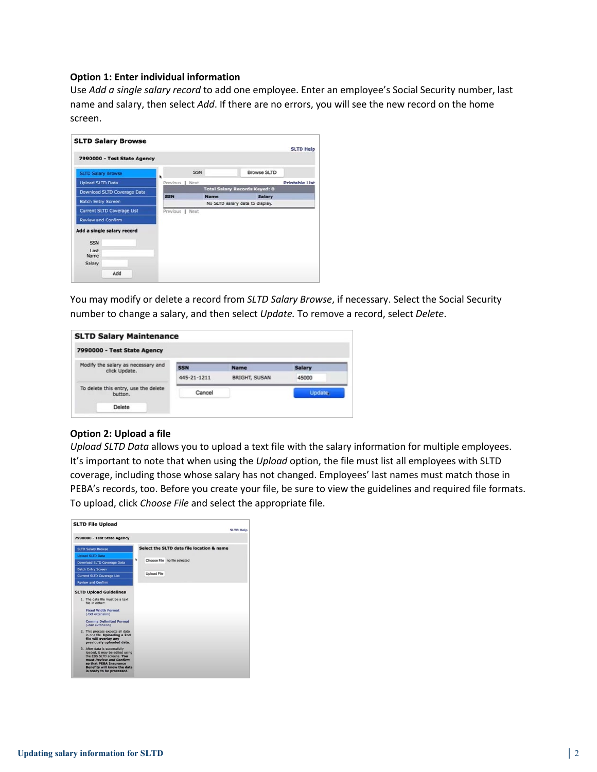#### **Option 1: Enter individual information**

Use *Add a single salary record* to add one employee. Enter an employee's Social Security number, last name and salary, then select *Add*. If there are no errors, you will see the new record on the home screen.

|                                   |                 |             |                                      | <b>SLTD Help</b>      |
|-----------------------------------|-----------------|-------------|--------------------------------------|-----------------------|
| 7990000 - Test State Agency       |                 |             |                                      |                       |
| <b>SLTD Salary Browse</b>         | ٠               | <b>SSN</b>  | <b>Browse SLTD</b>                   |                       |
| <b>Upload SLTD Data</b>           | Previous   Next |             |                                      | <b>Printable List</b> |
| Download SLTD Coverage Data       |                 |             | <b>Total Salary Records Keyed: 0</b> |                       |
| <b>Batch Entry Screen</b>         | <b>SSN</b>      | <b>Name</b> | <b>Salary</b>                        |                       |
|                                   |                 |             | No SLTD salary data to display.      |                       |
| <b>Current SLTD Coverage List</b> | Previous   Next |             |                                      |                       |
| <b>Review and Confirm</b>         |                 |             |                                      |                       |
| Add a single salary record        |                 |             |                                      |                       |
| <b>SSN</b>                        |                 |             |                                      |                       |
| Last                              |                 |             |                                      |                       |
| Name                              |                 |             |                                      |                       |
| Salary                            |                 |             |                                      |                       |
|                                   |                 |             |                                      |                       |

You may modify or delete a record from *SLTD Salary Browse*, if necessary. Select the Social Security number to change a salary, and then select *Update.* To remove a record, select *Delete*.

| <b>SLTD Salary Maintenance</b>                      |             |                      |         |
|-----------------------------------------------------|-------------|----------------------|---------|
| 7990000 - Test State Agency                         |             |                      |         |
| Modify the salary as necessary and<br>click Update. | <b>SSN</b>  | <b>Name</b>          | Salary  |
|                                                     | 445-21-1211 | <b>BRIGHT, SUSAN</b> | 45000   |
| To delete this entry, use the delete<br>button.     | Cancel      |                      | Undate. |
| Delete                                              |             |                      |         |

#### **Option 2: Upload a file**

*Upload SLTD Data* allows you to upload a text file with the salary information for multiple employees. It's important to note that when using the *Upload* option, the file must list all employees with SLTD coverage, including those whose salary has not changed. Employees' last names must match those in PEBA's records, too. Before you create your file, be sure to view the guidelines and required file formats. To upload, click *Choose File* and select the appropriate file.

|                                                                                                                                                                                  |                    | <b>SLTD Help</b>                          |
|----------------------------------------------------------------------------------------------------------------------------------------------------------------------------------|--------------------|-------------------------------------------|
| 7990000 - Test State Agency                                                                                                                                                      |                    |                                           |
| <b>SLTD Salary Browse</b>                                                                                                                                                        |                    | Select the SLTD data file location & name |
| <b>Upload SLTD Data</b>                                                                                                                                                          | ۰                  |                                           |
| Download SLTD Coverage Data                                                                                                                                                      |                    | Choose File no file selected              |
| <b>Batch Entry Screen</b>                                                                                                                                                        |                    |                                           |
| Current SLTD Coverage List                                                                                                                                                       | <b>Upload File</b> |                                           |
| <b>Review and Confirm</b>                                                                                                                                                        |                    |                                           |
| 1. The data file must be a text<br>file in either:<br><b>Fixed Width Format</b><br>(.txt extension)<br><b>Comma Delimited Format</b><br>(.csv extension)                         |                    |                                           |
| 2. This process expects all data<br>in one file. Uploading a 2nd<br>file will overlay any<br>previously uploaded data.                                                           |                    |                                           |
| 3. After data is successfully<br>loaded, it may be edited using<br>the EBS SLTD screens. You<br>must Review and Confirm<br>so that PFRA Insurance<br>Benefits will know the data |                    |                                           |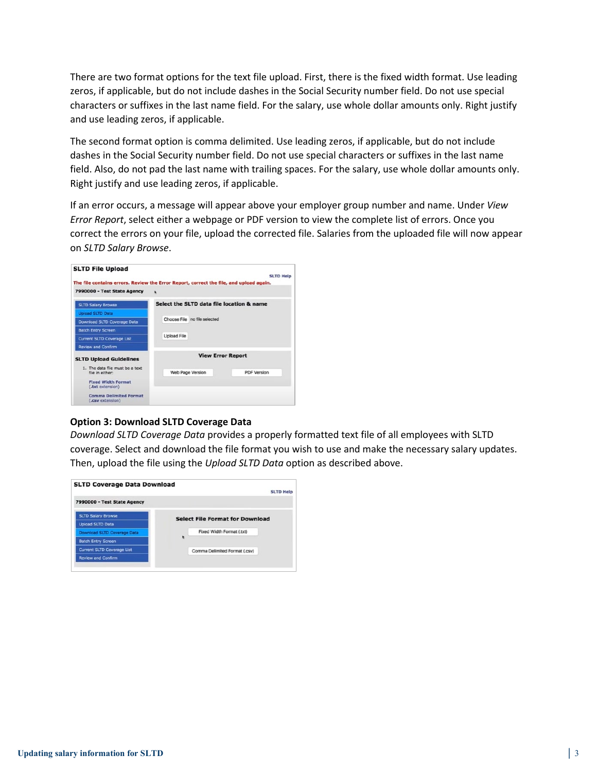There are two format options for the text file upload. First, there is the fixed width format. Use leading zeros, if applicable, but do not include dashes in the Social Security number field. Do not use special characters or suffixes in the last name field. For the salary, use whole dollar amounts only. Right justify and use leading zeros, if applicable.

The second format option is comma delimited. Use leading zeros, if applicable, but do not include dashes in the Social Security number field. Do not use special characters or suffixes in the last name field. Also, do not pad the last name with trailing spaces. For the salary, use whole dollar amounts only. Right justify and use leading zeros, if applicable.

If an error occurs, a message will appear above your employer group number and name. Under *View Error Report*, select either a webpage or PDF version to view the complete list of errors. Once you correct the errors on your file, upload the corrected file. Salaries from the uploaded file will now appear on *SLTD Salary Browse*.

| <b>SLTD File Upload</b>                            |                                                                                        | <b>SLTD Help</b>   |  |  |
|----------------------------------------------------|----------------------------------------------------------------------------------------|--------------------|--|--|
|                                                    | The file contains errors. Review the Error Report, correct the file, and upload again. |                    |  |  |
| 7990000 - Test State Agency                        | ٠                                                                                      |                    |  |  |
| <b>SLTD Salary Browse</b>                          | Select the SLTD data file location & name                                              |                    |  |  |
| <b>Upload SLTD Data</b>                            |                                                                                        |                    |  |  |
| Download SLTD Coverage Data                        | Choose File no file selected                                                           |                    |  |  |
| <b>Batch Entry Screen</b>                          |                                                                                        |                    |  |  |
| <b>Current SLTD Coverage List</b>                  | <b>Upload File</b>                                                                     |                    |  |  |
| <b>Review and Confirm</b>                          |                                                                                        |                    |  |  |
| <b>SLTD Upload Guidelines</b>                      | <b>View Error Report</b>                                                               |                    |  |  |
| 1. The data file must be a text<br>file in either: | Web Page Version                                                                       | <b>PDF Version</b> |  |  |
| <b>Fixed Width Format</b><br>(.txt extension)      |                                                                                        |                    |  |  |
| <b>Comma Delimited Format</b><br>(.csv extension)  |                                                                                        |                    |  |  |

#### **Option 3: Download SLTD Coverage Data**

*Download SLTD Coverage Data* provides a properly formatted text file of all employees with SLTD coverage. Select and download the file format you wish to use and make the necessary salary updates. Then, upload the file using the *Upload SLTD Data* option as described above.

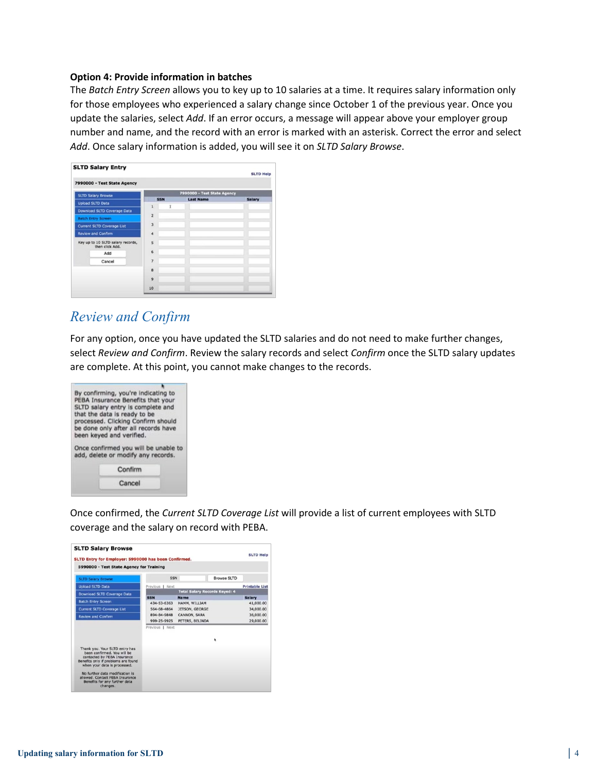#### **Option 4: Provide information in batches**

The *Batch Entry Screen* allows you to key up to 10 salaries at a time. It requires salary information only for those employees who experienced a salary change since October 1 of the previous year. Once you update the salaries, select *Add*. If an error occurs, a message will appear above your employer group number and name, and the record with an error is marked with an asterisk. Correct the error and select *Add*. Once salary information is added, you will see it on *SLTD Salary Browse*.

|                                                      |                                    |                             |   |                  | <b>SLTD Help</b> |  |
|------------------------------------------------------|------------------------------------|-----------------------------|---|------------------|------------------|--|
|                                                      | 7990000 - Test State Agency        |                             |   |                  |                  |  |
|                                                      | <b>SLTD Salary Browse</b>          | 7990000 - Test State Agency |   |                  |                  |  |
| <b>Upload SLTD Data</b>                              |                                    | <b>SSN</b>                  |   | <b>Last Name</b> | <b>Salary</b>    |  |
|                                                      | <b>Download SLTD Coverage Data</b> | $\mathbf{1}$                | Ï |                  |                  |  |
|                                                      | <b>Batch Entry Screen</b>          | $\overline{2}$              |   |                  |                  |  |
|                                                      | <b>Current SLTD Coverage List</b>  | $\overline{3}$              |   |                  |                  |  |
|                                                      | <b>Review and Confirm</b>          | 4                           |   |                  |                  |  |
| Key up to 10 SLTD salary records,<br>then click Add. | 5                                  |                             |   |                  |                  |  |
|                                                      | Add                                | 6                           |   |                  |                  |  |
|                                                      | Cancel                             | $\overline{z}$              |   |                  |                  |  |
|                                                      |                                    | 8                           |   |                  |                  |  |
|                                                      |                                    | $\mathbf{Q}$                |   |                  |                  |  |
|                                                      |                                    | 10                          |   |                  |                  |  |

## *Review and Confirm*

For any option, once you have updated the SLTD salaries and do not need to make further changes, select *Review and Confirm*. Review the salary records and select *Confirm* once the SLTD salary updates are complete. At this point, you cannot make changes to the records.



Once confirmed, the *Current SLTD Coverage List* will provide a list of current employees with SLTD coverage and the salary on record with PEBA.

| SLTD Entry for Employer: 5990000 has been Confirmed.                                                                                                                |                            |                                      |             |                        |
|---------------------------------------------------------------------------------------------------------------------------------------------------------------------|----------------------------|--------------------------------------|-------------|------------------------|
| 5990000 - Test State Agency for Training                                                                                                                            |                            |                                      |             |                        |
| <b>SLTD Salary Browse</b>                                                                                                                                           | <b>SSN</b>                 |                                      | Browse SLTD |                        |
| <b>Upload SLTD Data</b>                                                                                                                                             | Previous   Next            |                                      |             | <b>Printable List</b>  |
| <b>Download SLTD Coverage Data</b>                                                                                                                                  |                            | <b>Total Salary Records Keyed: 4</b> |             |                        |
| <b>Batch Entry Screen</b>                                                                                                                                           | <b>SSN</b>                 | <b>Name</b>                          |             | <b>Salary</b>          |
| <b>Current SLTD Coverage List</b>                                                                                                                                   | 434-53-6363<br>564-68-4864 | HAMM, WILLIAM<br>JETSON, GEORGE      |             | 41,000.00<br>34,000.00 |
| <b>Review and Confirm</b>                                                                                                                                           | 894-84-9848                | CANNON, SARA                         |             | 36,000.00              |
|                                                                                                                                                                     | 999-25-9925                | PETERS, BELINDA                      |             | 29,000.00              |
|                                                                                                                                                                     | Previous   Next            |                                      |             |                        |
|                                                                                                                                                                     |                            |                                      |             |                        |
| Thank you, Your SLTD entry has<br>been confirmed. You will be<br>contacted by PEBA Insurance<br>Benefits only if problems are found<br>when your data is processed. |                            |                                      |             |                        |
| No further data modification is<br>allowed. Contact PEBA Insurance<br>Benefits for any further data<br>changes.                                                     |                            |                                      |             |                        |